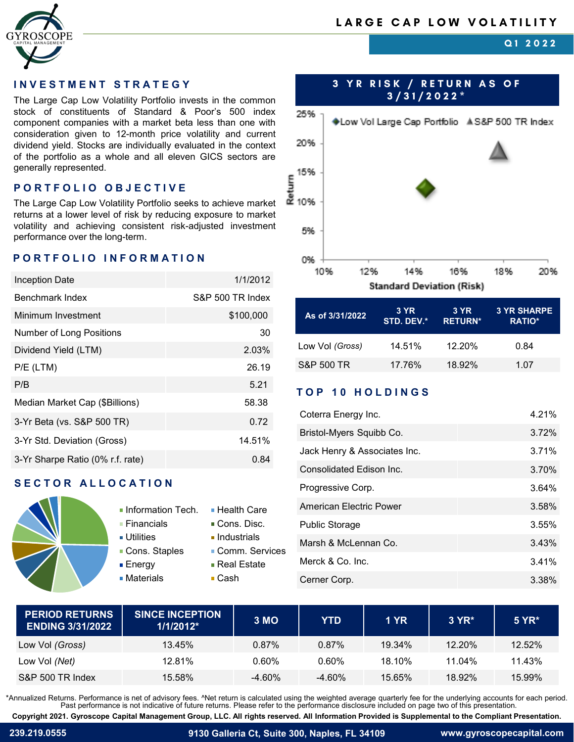

**Q1 2022**

The Large Cap Low Volatility Portfolio invests in the common stock of constituents of Standard & Poor's 500 index component companies with a market beta less than one with consideration given to 12-month price volatility and current dividend yield. Stocks are individually evaluated in the context of the portfolio as a whole and all eleven GICS sectors are generally represented.

### **PORTFOLIO OBJECTIVE**

The Large Cap Low Volatility Portfolio seeks to achieve market returns at a lower level of risk by reducing exposure to market volatility and achieving consistent risk-adjusted investment performance over the long-term.

## **PORTFOLIO INFORMATION**

| <b>Inception Date</b>            | 1/1/2012         |
|----------------------------------|------------------|
| Benchmark Index                  | S&P 500 TR Index |
| Minimum Investment               | \$100,000        |
| Number of Long Positions         | 30               |
| Dividend Yield (LTM)             | 2.03%            |
| $P/E$ (LTM)                      | 26.19            |
| P/B                              | 5.21             |
| Median Market Cap (\$Billions)   | 58.38            |
| 3-Yr Beta (vs. S&P 500 TR)       | 0.72             |
| 3-Yr Std. Deviation (Gross)      | 14.51%           |
| 3-Yr Sharpe Ratio (0% r.f. rate) | 0.84             |

## **SECTOR ALLOCATION**



- Information Tech.  $\blacksquare$  Health Care ■ Financials ■ Cons. Disc.
	-
- Utilities Industrials
- **Cons. Staples Comm. Services** 
	-
	-
- Materials Cash
- 
- 
- 
- 
- Energy Real Estate
	-



| As of 3/31/2022 | <b>3 YR</b><br>STD. DEV.* | <b>3 YR</b><br><b>RETURN*</b> | <b>3 YR SHARPE</b><br><b>RATIO*</b> |
|-----------------|---------------------------|-------------------------------|-------------------------------------|
| Low Vol (Gross) | 14.51%                    | $12.20\%$                     | 0.84                                |
| S&P 500 TR      | 17.76%                    | 18.92%                        | 1 07                                |

# **TOP 10 HOLDINGS**

| Coterra Energy Inc.          | 4.21% |
|------------------------------|-------|
| Bristol-Myers Squibb Co.     | 3.72% |
| Jack Henry & Associates Inc. | 3.71% |
| Consolidated Edison Inc.     | 3.70% |
| Progressive Corp.            | 3.64% |
| American Electric Power      | 3.58% |
| <b>Public Storage</b>        | 3.55% |
| Marsh & McLennan Co.         | 3.43% |
| Merck & Co. Inc.             | 3.41% |
| Cerner Corp.                 | 3.38% |

| <b>PERIOD RETURNS</b><br><b>ENDING 3/31/2022</b> | <b>SINCE INCEPTION</b><br>$1/1/2012$ * | 3 MO      | YTD       | 1 YR   | $3 YR^*$  | 5 YR*  |
|--------------------------------------------------|----------------------------------------|-----------|-----------|--------|-----------|--------|
| Low Vol (Gross)                                  | 13.45%                                 | $0.87\%$  | 0.87%     | 19.34% | 12.20%    | 12.52% |
| Low Vol (Net)                                    | 12.81%                                 | 0.60%     | 0.60%     | 18.10% | $11.04\%$ | 11.43% |
| S&P 500 TR Index                                 | 15.58%                                 | $-4.60\%$ | $-4.60\%$ | 15.65% | 18.92%    | 15.99% |

\*Annualized Returns. Performance is net of advisory fees. ^Net return is calculated using the weighted average quarterly fee for the underlying accounts for each period.<br>Past performance is not indicative of future returns

**Copyright 2021. Gyroscope Capital Management Group, LLC. All rights reserved. All Information Provided is Supplemental to the Compliant Presentation.**

**239.219.0555 9130 Galleria Ct, Suite 300, Naples, FL 34109 www.gyroscopecapital.com**